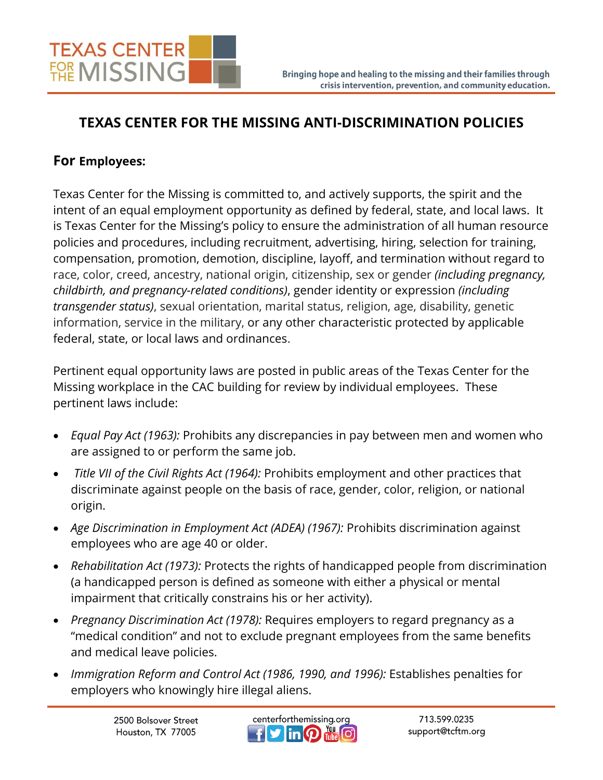## **TEXAS CENTER FOR THE MISSING ANTI-DISCRIMINATION POLICIES**

## **For Employees:**

Texas Center for the Missing is committed to, and actively supports, the spirit and the intent of an equal employment opportunity as defined by federal, state, and local laws. It is Texas Center for the Missing's policy to ensure the administration of all human resource policies and procedures, including recruitment, advertising, hiring, selection for training, compensation, promotion, demotion, discipline, layoff, and termination without regard to race, color, creed, ancestry, national origin, citizenship, sex or gender *(including pregnancy, childbirth, and pregnancy-related conditions)*, gender identity or expression *(including transgender status)*, sexual orientation, marital status, religion, age, disability, genetic information, service in the military, or any other characteristic protected by applicable federal, state, or local laws and ordinances.

Pertinent equal opportunity laws are posted in public areas of the Texas Center for the Missing workplace in the CAC building for review by individual employees. These pertinent laws include:

- *Equal Pay Act (1963):* Prohibits any discrepancies in pay between men and women who are assigned to or perform the same job.
- *Title VII of the Civil Rights Act (1964):* Prohibits employment and other practices that discriminate against people on the basis of race, gender, color, religion, or national origin.
- *Age Discrimination in Employment Act (ADEA) (1967):* Prohibits discrimination against employees who are age 40 or older.
- *Rehabilitation Act (1973):* Protects the rights of handicapped people from discrimination (a handicapped person is defined as someone with either a physical or mental impairment that critically constrains his or her activity).
- *Pregnancy Discrimination Act (1978):* Requires employers to regard pregnancy as a "medical condition" and not to exclude pregnant employees from the same benefits and medical leave policies.
- *Immigration Reform and Control Act (1986, 1990, and 1996):* Establishes penalties for employers who knowingly hire illegal aliens.